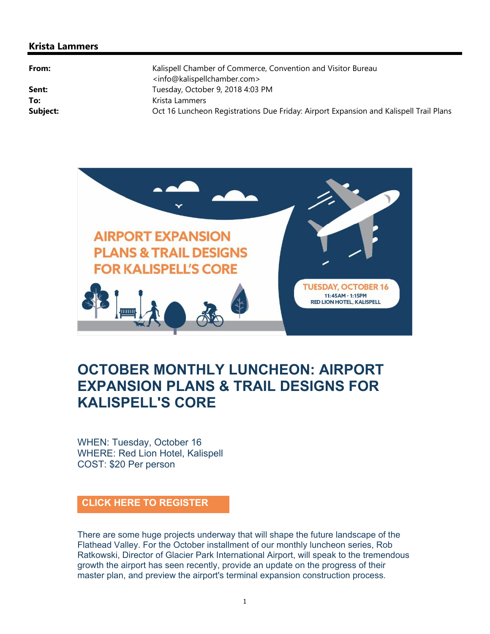## **Krista Lammers**

**From:** Example 2012 **Kalispell Chamber of Commerce, Convention and Visitor Bureau** <info@kalispellchamber.com> Sent: Tuesday, October 9, 2018 4:03 PM To: **To:** Krista Lammers **Subject:** Oct 16 Luncheon Registrations Due Friday: Airport Expansion and Kalispell Trail Plans



## **OCTOBER MONTHLY LUNCHEON: AIRPORT EXPANSION PLANS & TRAIL DESIGNS FOR KALISPELL'S CORE**

WHEN: Tuesday, October 16 WHERE: Red Lion Hotel, Kalispell COST: \$20 Per person

## **CLICK HERE TO REGISTER**

There are some huge projects underway that will shape the future landscape of the Flathead Valley. For the October installment of our monthly luncheon series, Rob Ratkowski, Director of Glacier Park International Airport, will speak to the tremendous growth the airport has seen recently, provide an update on the progress of their master plan, and preview the airport's terminal expansion construction process.